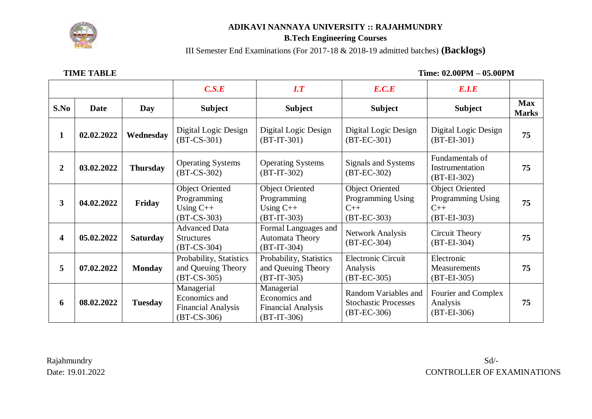

### **ADIKAVI NANNAYA UNIVERSITY :: RAJAHMUNDRY**

### **B.Tech Engineering Courses**

III Semester End Examinations (For 2017-18 & 2018-19 admitted batches) **(Backlogs)**

 **TIME TABLE Time: 02.00PM – 05.00PM**

|                |             |                 | C.S.E                                                                     | $\boldsymbol{I}.\boldsymbol{T}$                                           | E.C.E                                                                 | E.I.E                                                                 |                            |
|----------------|-------------|-----------------|---------------------------------------------------------------------------|---------------------------------------------------------------------------|-----------------------------------------------------------------------|-----------------------------------------------------------------------|----------------------------|
| S.No           | <b>Date</b> | Day             | <b>Subject</b>                                                            | <b>Subject</b>                                                            | <b>Subject</b>                                                        | <b>Subject</b>                                                        | <b>Max</b><br><b>Marks</b> |
| 1              | 02.02.2022  | Wednesday       | Digital Logic Design<br>$(BT-CS-301)$                                     | Digital Logic Design<br>$(BT-IT-301)$                                     | Digital Logic Design<br>$(BT-EC-301)$                                 | Digital Logic Design<br>$(BT-EI-301)$                                 | 75                         |
| $\overline{2}$ | 03.02.2022  | <b>Thursday</b> | <b>Operating Systems</b><br>$(BT-CS-302)$                                 | <b>Operating Systems</b><br>$(BT-IT-302)$                                 | Signals and Systems<br>$(BT-EC-302)$                                  | Fundamentals of<br>Instrumentation<br>$(BT-EI-302)$                   | 75                         |
| $\overline{3}$ | 04.02.2022  | Friday          | <b>Object Oriented</b><br>Programming<br>Using $C++$<br>$(BT-CS-303)$     | <b>Object Oriented</b><br>Programming<br>Using $C++$<br>$(BT-IT-303)$     | <b>Object Oriented</b><br>Programming Using<br>$C++$<br>$(BT-EC-303)$ | <b>Object Oriented</b><br>Programming Using<br>$C++$<br>$(BT-EI-303)$ | 75                         |
| 4              | 05.02.2022  | <b>Saturday</b> | <b>Advanced Data</b><br><b>Structures</b><br>$(BT-CS-304)$                | Formal Languages and<br>Automata Theory<br>$(BT-IT-304)$                  | Network Analysis<br>$(BT-EC-304)$                                     | Circuit Theory<br>$(BT-EI-304)$                                       | 75                         |
| 5              | 07.02.2022  | <b>Monday</b>   | Probability, Statistics<br>and Queuing Theory<br>$(BT-CS-305)$            | Probability, Statistics<br>and Queuing Theory<br>$(BT-IT-305)$            | <b>Electronic Circuit</b><br>Analysis<br>$(BT-EC-305)$                | Electronic<br>Measurements<br>$(BT-EI-305)$                           | 75                         |
| 6              | 08.02.2022  | <b>Tuesday</b>  | Managerial<br>Economics and<br><b>Financial Analysis</b><br>$(BT-CS-306)$ | Managerial<br>Economics and<br><b>Financial Analysis</b><br>$(BT-IT-306)$ | Random Variables and<br><b>Stochastic Processes</b><br>$(BT-EC-306)$  | Fourier and Complex<br>Analysis<br>$(BT-EI-306)$                      | 75                         |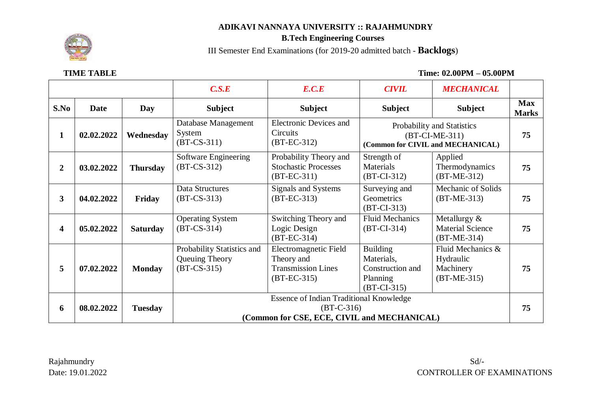## **ADIKAVI NANNAYA UNIVERSITY :: RAJAHMUNDRY**



# **B.Tech Engineering Courses**

III Semester End Examinations (for 2019-20 admitted batch - **Backlogs**)

 **TIME TABLE Time: 02.00PM – 05.00PM**

|                |             |                 | C.S.E                                                                                                         | E.C.E                                                                             | <b>CIVIL</b>                                                                        | <b>MECHANICAL</b>                                            |                            |
|----------------|-------------|-----------------|---------------------------------------------------------------------------------------------------------------|-----------------------------------------------------------------------------------|-------------------------------------------------------------------------------------|--------------------------------------------------------------|----------------------------|
| S.No           | <b>Date</b> | Day             | <b>Subject</b>                                                                                                | <b>Subject</b>                                                                    | <b>Subject</b>                                                                      | <b>Subject</b>                                               | <b>Max</b><br><b>Marks</b> |
| 1              | 02.02.2022  | Wednesday       | Database Management<br>System<br>$(BT-CS-311)$                                                                | <b>Electronic Devices and</b><br>Circuits<br>$(BT-EC-312)$                        | Probability and Statistics<br>$(BT-CI-ME-311)$<br>(Common for CIVIL and MECHANICAL) |                                                              | 75                         |
| $\overline{2}$ | 03.02.2022  | <b>Thursday</b> | Software Engineering<br>$(BT-CS-312)$                                                                         | Probability Theory and<br><b>Stochastic Processes</b><br>$(BT-EC-311)$            | Strength of<br>Materials<br>$(BT-CI-312)$                                           | Applied<br>Thermodynamics<br>$(BT-ME-312)$                   | 75                         |
| $\overline{3}$ | 04.02.2022  | Friday          | Data Structures<br>$(BT-CS-313)$                                                                              | Signals and Systems<br>$(BT-EC-313)$                                              | Surveying and<br>Geometrics<br>$(BT-CI-313)$                                        | Mechanic of Solids<br>$(BT-ME-313)$                          | 75                         |
| 4              | 05.02.2022  | <b>Saturday</b> | <b>Operating System</b><br>$(BT-CS-314)$                                                                      | Switching Theory and<br>Logic Design<br>$(BT-EC-314)$                             | <b>Fluid Mechanics</b><br>$(BT-CI-314)$                                             | Metallurgy $&$<br><b>Material Science</b><br>$(BT-ME-314)$   | 75                         |
| 5              | 07.02.2022  | <b>Monday</b>   | Probability Statistics and<br>Queuing Theory<br>$(BT-CS-315)$                                                 | Electromagnetic Field<br>Theory and<br><b>Transmission Lines</b><br>$(BT-EC-315)$ | <b>Building</b><br>Materials,<br>Construction and<br>Planning<br>$(BT-CI-315)$      | Fluid Mechanics &<br>Hydraulic<br>Machinery<br>$(BT-ME-315)$ | 75                         |
| 6              | 08.02.2022  | <b>Tuesday</b>  | <b>Essence of Indian Traditional Knowledge</b><br>$(BT-C-316)$<br>(Common for CSE, ECE, CIVIL and MECHANICAL) |                                                                                   |                                                                                     |                                                              | 75                         |